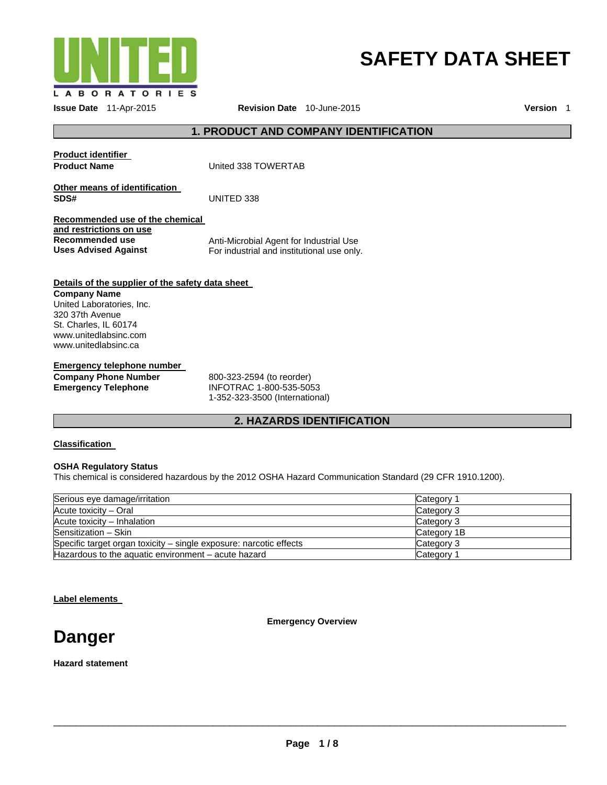

# **SAFETY DATA SHEET**

**Issue Date** 11-Apr-2015 **Revision Date** 10-June-2015 **Version** 1

# **1. PRODUCT AND COMPANY IDENTIFICATION**

**Product identifier** 

**Product Name United 338 TOWERTAB** 

**Other means of identification SDS#** UNITED 338

**Recommended use of the chemical and restrictions on use Recommended use Uses Advised Against** 

Anti-Microbial Agent for Industrial Use For industrial and institutional use only.

# **Details of the supplier of the safety data sheet**

**Company Name**  United Laboratories, Inc. 320 37th Avenue St. Charles, IL 60174 www.unitedlabsinc.com www.unitedlabsinc.ca

**Emergency telephone number** 

**Company Phone Number Emergency Telephone** 

800-323-2594 (to reorder) INFOTRAC 1-800-535-5053 1-352-323-3500 (International)

# **2. HAZARDS IDENTIFICATION**

# **Classification**

# **OSHA Regulatory Status**

This chemical is considered hazardous by the 2012 OSHA Hazard Communication Standard (29 CFR 1910.1200).

| Serious eye damage/irritation                                      | Category 1  |  |
|--------------------------------------------------------------------|-------------|--|
| Acute toxicity - Oral                                              | Category 3  |  |
| Acute toxicity - Inhalation                                        | Category 3  |  |
| Sensitization - Skin                                               | Category 1B |  |
| Specific target organ toxicity – single exposure: narcotic effects | Category 3  |  |
| Hazardous to the aquatic environment $-$ acute hazard              | Category 1  |  |

**Label elements** 

**Emergency Overview** 

**Danger** 

**Hazard statement**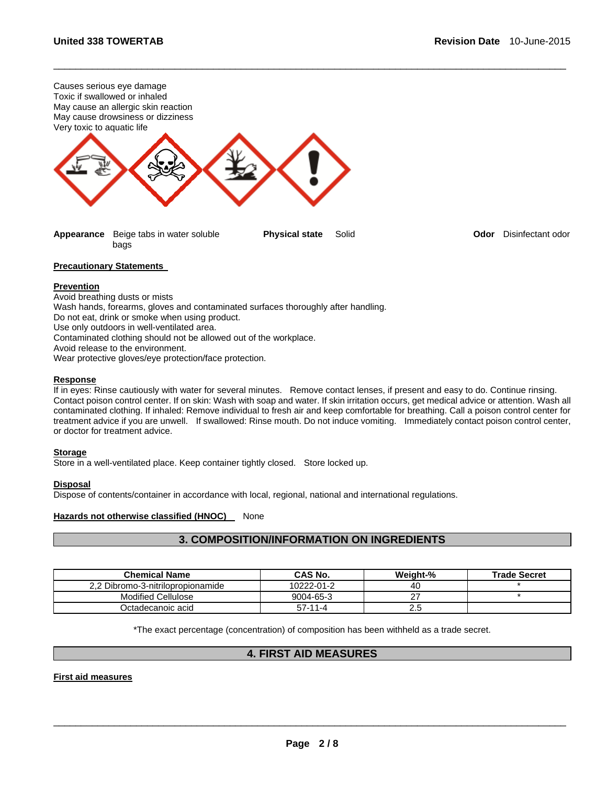

**Appearance** Beige tabs in water soluble bags

\_\_\_\_\_\_\_\_\_\_\_\_\_\_\_\_\_\_\_\_\_\_\_\_\_\_\_\_\_\_\_\_\_\_\_\_\_\_\_\_\_\_\_\_\_\_\_\_\_\_\_\_\_\_\_\_\_\_\_\_\_\_\_\_\_\_\_\_\_\_\_\_\_\_\_\_\_\_\_\_\_\_\_\_\_\_\_\_\_\_\_\_\_

**Physical state** Solid **Odor** Disinfectant odor

#### **Precautionary Statements**

#### **Prevention**

Avoid breathing dusts or mists Wash hands, forearms, gloves and contaminated surfaces thoroughly after handling. Do not eat, drink or smoke when using product. Use only outdoors in well-ventilated area. Contaminated clothing should not be allowed out of the workplace. Avoid release to the environment. Wear protective gloves/eye protection/face protection.

#### **Response**

If in eyes: Rinse cautiously with water for several minutes. Remove contact lenses, if present and easy to do. Continue rinsing. Contact poison control center. If on skin: Wash with soap and water. If skin irritation occurs, get medical advice or attention. Wash all contaminated clothing. If inhaled: Remove individual to fresh air and keep comfortable for breathing. Call a poison control center for treatment advice if you are unwell. If swallowed: Rinse mouth. Do not induce vomiting. Immediately contact poison control center, or doctor for treatment advice.

# **Storage**

Store in a well-ventilated place. Keep container tightly closed. Store locked up.

# **Disposal**

Dispose of contents/container in accordance with local, regional, national and international regulations.

# **Hazards not otherwise classified (HNOC)** None

# **3. COMPOSITION/INFORMATION ON INGREDIENTS**

| <b>Chemical Name</b>              | <b>CAS No.</b> | Weight-% | <b>Trade Secret</b> |
|-----------------------------------|----------------|----------|---------------------|
| 2.2 Dibromo-3-nitrilopropionamide | 10222-01-2     | 40       |                     |
| Modified Cellulose                | 9004-65-3      |          |                     |
| Octadecanoic acid                 | $57-11-4$      | د.2      |                     |

\*The exact percentage (concentration) of composition has been withheld as a trade secret.

# **4. FIRST AID MEASURES**

# **First aid measures**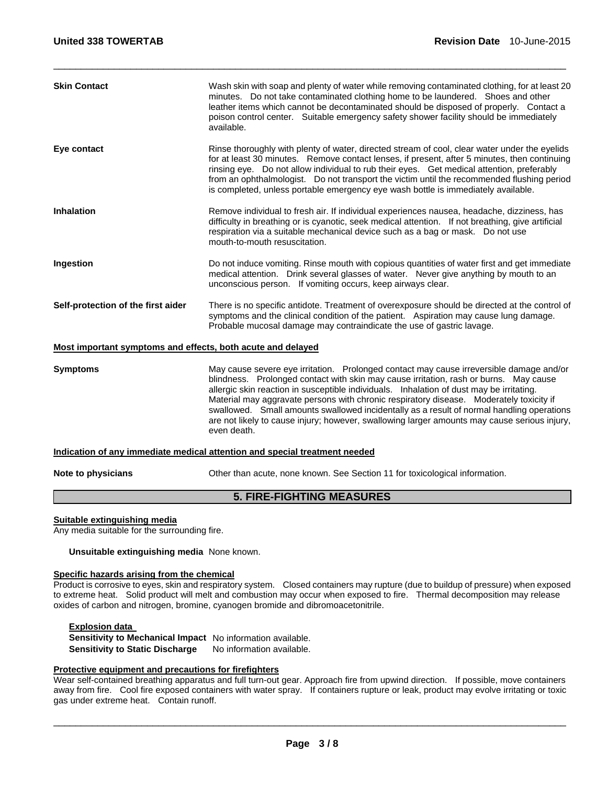| <b>Skin Contact</b>                                         | Wash skin with soap and plenty of water while removing contaminated clothing, for at least 20<br>minutes. Do not take contaminated clothing home to be laundered. Shoes and other<br>leather items which cannot be decontaminated should be disposed of properly. Contact a<br>poison control center. Suitable emergency safety shower facility should be immediately<br>available.                                                                                           |  |
|-------------------------------------------------------------|-------------------------------------------------------------------------------------------------------------------------------------------------------------------------------------------------------------------------------------------------------------------------------------------------------------------------------------------------------------------------------------------------------------------------------------------------------------------------------|--|
| Eye contact                                                 | Rinse thoroughly with plenty of water, directed stream of cool, clear water under the eyelids<br>for at least 30 minutes. Remove contact lenses, if present, after 5 minutes, then continuing<br>rinsing eye. Do not allow individual to rub their eyes. Get medical attention, preferably<br>from an ophthalmologist. Do not transport the victim until the recommended flushing period<br>is completed, unless portable emergency eye wash bottle is immediately available. |  |
| <b>Inhalation</b>                                           | Remove individual to fresh air. If individual experiences nausea, headache, dizziness, has<br>difficulty in breathing or is cyanotic, seek medical attention. If not breathing, give artificial<br>respiration via a suitable mechanical device such as a bag or mask. Do not use<br>mouth-to-mouth resuscitation.                                                                                                                                                            |  |
| Ingestion                                                   | Do not induce vomiting. Rinse mouth with copious quantities of water first and get immediate<br>medical attention.  Drink several glasses of water.  Never give anything by mouth to an<br>unconscious person. If vomiting occurs, keep airways clear.                                                                                                                                                                                                                        |  |
| Self-protection of the first aider                          | There is no specific antidote. Treatment of overexposure should be directed at the control of<br>symptoms and the clinical condition of the patient. Aspiration may cause lung damage.<br>Probable mucosal damage may contraindicate the use of gastric lavage.                                                                                                                                                                                                               |  |
| Most important symptoms and effects, both acute and delayed |                                                                                                                                                                                                                                                                                                                                                                                                                                                                               |  |
| <b>Symptoms</b>                                             | May cause severe eye irritation. Prolonged contact may cause irreversible damage and/or<br>blindness. Prolonged contact with skin may cause irritation, rash or burns. May cause<br>allergic skin reaction in susceptible individuals. Inhalation of dust may be irritating.<br>Material may aggravate persons with chronic respiratory disease.  Moderately toxicity if                                                                                                      |  |

\_\_\_\_\_\_\_\_\_\_\_\_\_\_\_\_\_\_\_\_\_\_\_\_\_\_\_\_\_\_\_\_\_\_\_\_\_\_\_\_\_\_\_\_\_\_\_\_\_\_\_\_\_\_\_\_\_\_\_\_\_\_\_\_\_\_\_\_\_\_\_\_\_\_\_\_\_\_\_\_\_\_\_\_\_\_\_\_\_\_\_\_\_

are not likely to cause injury; however, swallowing larger amounts may cause serious injury, even death.

# **Indication of any immediate medical attention and special treatment needed**

**Note to physicians Cther than acute, none known. See Section 11 for toxicological information.** 

swallowed. Small amounts swallowed incidentally as a result of normal handling operations

# **5. FIRE-FIGHTING MEASURES**

#### **Suitable extinguishing media**

Any media suitable for the surrounding fire.

**Unsuitable extinguishing media** None known.

#### **Specific hazards arising from the chemical**

Product is corrosive to eyes, skin and respiratory system. Closed containers may rupture (due to buildup of pressure) when exposed to extreme heat. Solid product will melt and combustion may occur when exposed to fire. Thermal decomposition may release oxides of carbon and nitrogen, bromine, cyanogen bromide and dibromoacetonitrile.

### **Explosion data**

**Sensitivity to Mechanical Impact** No information available. **Sensitivity to Static Discharge** No information available.

# **Protective equipment and precautions for firefighters**

Wear self-contained breathing apparatus and full turn-out gear. Approach fire from upwind direction. If possible, move containers away from fire. Cool fire exposed containers with water spray. If containers rupture or leak, product may evolve irritating or toxic gas under extreme heat. Contain runoff.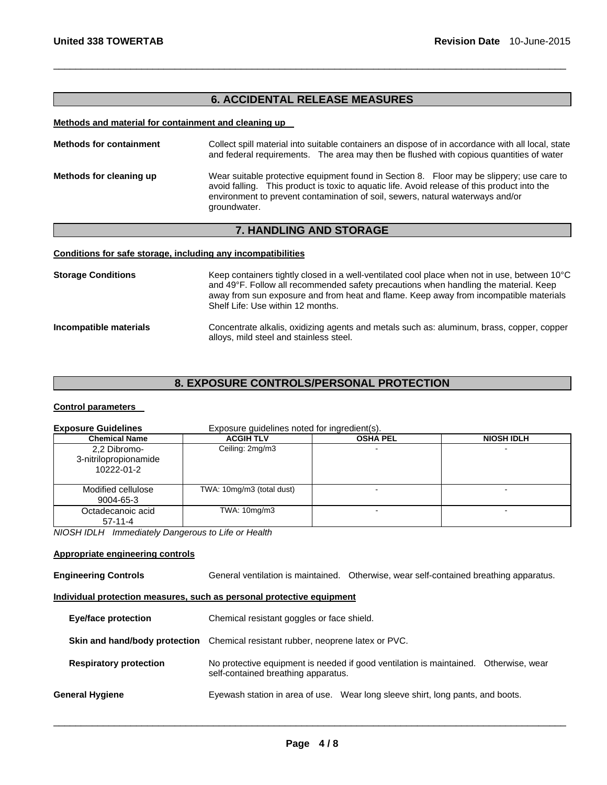# **6. ACCIDENTAL RELEASE MEASURES**

\_\_\_\_\_\_\_\_\_\_\_\_\_\_\_\_\_\_\_\_\_\_\_\_\_\_\_\_\_\_\_\_\_\_\_\_\_\_\_\_\_\_\_\_\_\_\_\_\_\_\_\_\_\_\_\_\_\_\_\_\_\_\_\_\_\_\_\_\_\_\_\_\_\_\_\_\_\_\_\_\_\_\_\_\_\_\_\_\_\_\_\_\_

#### **Methods and material for containment and cleaning up**

| <b>Methods for containment</b> | Collect spill material into suitable containers an dispose of in accordance with all local, state<br>and federal requirements. The area may then be flushed with copious quantities of water                                                                                                |
|--------------------------------|---------------------------------------------------------------------------------------------------------------------------------------------------------------------------------------------------------------------------------------------------------------------------------------------|
| Methods for cleaning up        | Wear suitable protective equipment found in Section 8. Floor may be slippery; use care to<br>avoid falling. This product is toxic to aquatic life. Avoid release of this product into the<br>environment to prevent contamination of soil, sewers, natural waterways and/or<br>groundwater. |

# **7. HANDLING AND STORAGE**

### **Conditions for safe storage, including any incompatibilities**

| <b>Storage Conditions</b> | Keep containers tightly closed in a well-ventilated cool place when not in use, between 10°C<br>and 49°F. Follow all recommended safety precautions when handling the material. Keep<br>away from sun exposure and from heat and flame. Keep away from incompatible materials<br>Shelf Life: Use within 12 months. |
|---------------------------|--------------------------------------------------------------------------------------------------------------------------------------------------------------------------------------------------------------------------------------------------------------------------------------------------------------------|
| Incompatible materials    | Concentrate alkalis, oxidizing agents and metals such as: aluminum, brass, copper, copper<br>alloys, mild steel and stainless steel.                                                                                                                                                                               |

# **8. EXPOSURE CONTROLS/PERSONAL PROTECTION**

# **Control parameters**

| <b>Exposure Guidelines</b>                          | Exposure quidelines noted for ingredient(s). |                 |                   |
|-----------------------------------------------------|----------------------------------------------|-----------------|-------------------|
| <b>Chemical Name</b>                                | <b>ACGIH TLV</b>                             | <b>OSHA PEL</b> | <b>NIOSH IDLH</b> |
| 2.2 Dibromo-<br>3-nitrilopropionamide<br>10222-01-2 | Ceiling: 2mg/m3                              |                 |                   |
| Modified cellulose<br>9004-65-3                     | TWA: 10mg/m3 (total dust)                    |                 |                   |
| Octadecanoic acid<br>$57-11-4$                      | TWA: 10mg/m3                                 |                 |                   |

*NIOSH IDLH Immediately Dangerous to Life or Health* 

# **Appropriate engineering controls**

**Engineering Controls** General ventilation is maintained. Otherwise, wear self-contained breathing apparatus.

# **Individual protection measures, such as personal protective equipment**

| <b>Eye/face protection</b>    | Chemical resistant goggles or face shield.                                                                                  |  |
|-------------------------------|-----------------------------------------------------------------------------------------------------------------------------|--|
|                               | <b>Skin and hand/body protection</b> Chemical resistant rubber, neoprene latex or PVC.                                      |  |
| <b>Respiratory protection</b> | No protective equipment is needed if good ventilation is maintained. Otherwise, wear<br>self-contained breathing apparatus. |  |
| General Hygiene               | Eyewash station in area of use. Wear long sleeve shirt, long pants, and boots.                                              |  |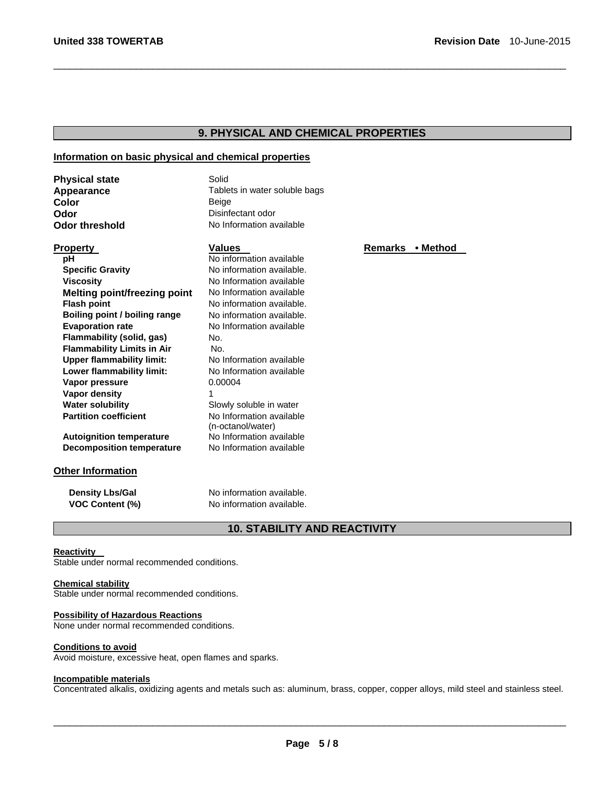# **9. PHYSICAL AND CHEMICAL PROPERTIES**

\_\_\_\_\_\_\_\_\_\_\_\_\_\_\_\_\_\_\_\_\_\_\_\_\_\_\_\_\_\_\_\_\_\_\_\_\_\_\_\_\_\_\_\_\_\_\_\_\_\_\_\_\_\_\_\_\_\_\_\_\_\_\_\_\_\_\_\_\_\_\_\_\_\_\_\_\_\_\_\_\_\_\_\_\_\_\_\_\_\_\_\_\_

# **Information on basic physical and chemical properties**

| <b>Physical state</b> | Solid                         |
|-----------------------|-------------------------------|
| Appearance            | Tablets in water soluble bags |
| Color                 | Beige                         |
| Odor                  | Disinfectant odor             |
| Odor threshold        | No Information available      |

| pH                                  | No information available  |
|-------------------------------------|---------------------------|
| <b>Specific Gravity</b>             | No information available. |
| <b>Viscosity</b>                    | No Information available  |
| <b>Melting point/freezing point</b> | No Information available  |
| <b>Flash point</b>                  | No information available. |
| Boiling point / boiling range       | No information available. |
| <b>Evaporation rate</b>             | No Information available  |
| Flammability (solid, gas)           | No.                       |
| <b>Flammability Limits in Air</b>   | No.                       |
| <b>Upper flammability limit:</b>    | No Information available  |
| Lower flammability limit:           | No Information available  |
| Vapor pressure                      | 0.00004                   |
| Vapor density                       | 1                         |
| <b>Water solubility</b>             | Slowly soluble in water   |
| <b>Partition coefficient</b>        | No Information available  |
|                                     | (n-octanol/water)         |
| <b>Autoignition temperature</b>     | No Information available  |

**Autoignition temperature Decomposition temperature** No Information available

# **Other Information**

**Density Lbs/Gal** No information available. **VOC Content (%)** No information available.

# **10. STABILITY AND REACTIVITY**

#### **Reactivity**

Stable under normal recommended conditions.

# **Chemical stability**

Stable under normal recommended conditions.

# **Possibility of Hazardous Reactions**

None under normal recommended conditions.

#### **Conditions to avoid**

Avoid moisture, excessive heat, open flames and sparks.

#### **Incompatible materials**

Concentrated alkalis, oxidizing agents and metals such as: aluminum, brass, copper, copper alloys, mild steel and stainless steel.

 $\Box$ 

**Property Contract Property Values Contract Property Remarks** • Method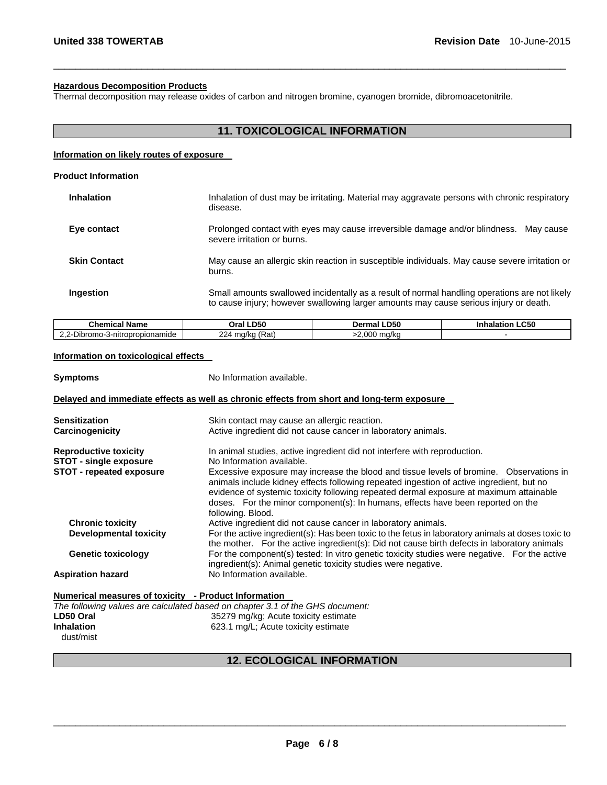#### **Hazardous Decomposition Products**

Thermal decomposition may release oxides of carbon and nitrogen bromine, cyanogen bromide, dibromoacetonitrile.

\_\_\_\_\_\_\_\_\_\_\_\_\_\_\_\_\_\_\_\_\_\_\_\_\_\_\_\_\_\_\_\_\_\_\_\_\_\_\_\_\_\_\_\_\_\_\_\_\_\_\_\_\_\_\_\_\_\_\_\_\_\_\_\_\_\_\_\_\_\_\_\_\_\_\_\_\_\_\_\_\_\_\_\_\_\_\_\_\_\_\_\_\_

|                                                                                                                                                                                        |              | Inhalation of dust may be irritating. Material may aggravate persons with chronic respiratory<br>disease. |  |  |
|----------------------------------------------------------------------------------------------------------------------------------------------------------------------------------------|--------------|-----------------------------------------------------------------------------------------------------------|--|--|
| Prolonged contact with eyes may cause irreversible damage and/or blindness.<br>Mav cause<br>severe irritation or burns.                                                                |              |                                                                                                           |  |  |
| May cause an allergic skin reaction in susceptible individuals. May cause severe irritation or<br>burns.                                                                               |              |                                                                                                           |  |  |
| Small amounts swallowed incidentally as a result of normal handling operations are not likely<br>to cause injury; however swallowing larger amounts may cause serious injury or death. |              |                                                                                                           |  |  |
| Oral LD50                                                                                                                                                                              | Dermal LD50  | <b>Inhalation LC50</b>                                                                                    |  |  |
| 224 mg/kg $(Rat)$                                                                                                                                                                      | >2,000 mg/kg |                                                                                                           |  |  |
|                                                                                                                                                                                        |              |                                                                                                           |  |  |

| <b>Symptoms</b>                                                                                                                       | No Information available.                                                                                                                                                                                                                                                                                                                                                             |  |
|---------------------------------------------------------------------------------------------------------------------------------------|---------------------------------------------------------------------------------------------------------------------------------------------------------------------------------------------------------------------------------------------------------------------------------------------------------------------------------------------------------------------------------------|--|
| Delayed and immediate effects as well as chronic effects from short and long-term exposure                                            |                                                                                                                                                                                                                                                                                                                                                                                       |  |
| <b>Sensitization</b><br>Carcinogenicity                                                                                               | Skin contact may cause an allergic reaction.<br>Active ingredient did not cause cancer in laboratory animals.                                                                                                                                                                                                                                                                         |  |
| <b>Reproductive toxicity</b><br><b>STOT - single exposure</b>                                                                         | In animal studies, active ingredient did not interfere with reproduction.<br>No Information available.                                                                                                                                                                                                                                                                                |  |
| <b>STOT - repeated exposure</b>                                                                                                       | Excessive exposure may increase the blood and tissue levels of bromine. Observations in<br>animals include kidney effects following repeated ingestion of active ingredient, but no<br>evidence of systemic toxicity following repeated dermal exposure at maximum attainable<br>doses. For the minor component(s): In humans, effects have been reported on the<br>following. Blood. |  |
| <b>Chronic toxicity</b><br><b>Developmental toxicity</b>                                                                              | Active ingredient did not cause cancer in laboratory animals.<br>For the active ingredient(s): Has been toxic to the fetus in laboratory animals at doses toxic to<br>the mother. For the active ingredient(s): Did not cause birth defects in laboratory animals                                                                                                                     |  |
| <b>Genetic toxicology</b>                                                                                                             | For the component(s) tested: In vitro genetic toxicity studies were negative. For the active<br>ingredient(s): Animal genetic toxicity studies were negative.                                                                                                                                                                                                                         |  |
| <b>Aspiration hazard</b>                                                                                                              | No Information available.                                                                                                                                                                                                                                                                                                                                                             |  |
| Numerical measures of toxicity - Product Information<br>The following values are calculated based on chapter 3.1 of the GHS document: |                                                                                                                                                                                                                                                                                                                                                                                       |  |

|                   | The following values are calculated based on chapter 3.1 of the GHS documer |
|-------------------|-----------------------------------------------------------------------------|
| LD50 Oral         | 35279 mg/kg; Acute toxicity estimate                                        |
| <b>Inhalation</b> | 623.1 mg/L; Acute toxicity estimate                                         |
| dust/mist         |                                                                             |

# **12. ECOLOGICAL INFORMATION**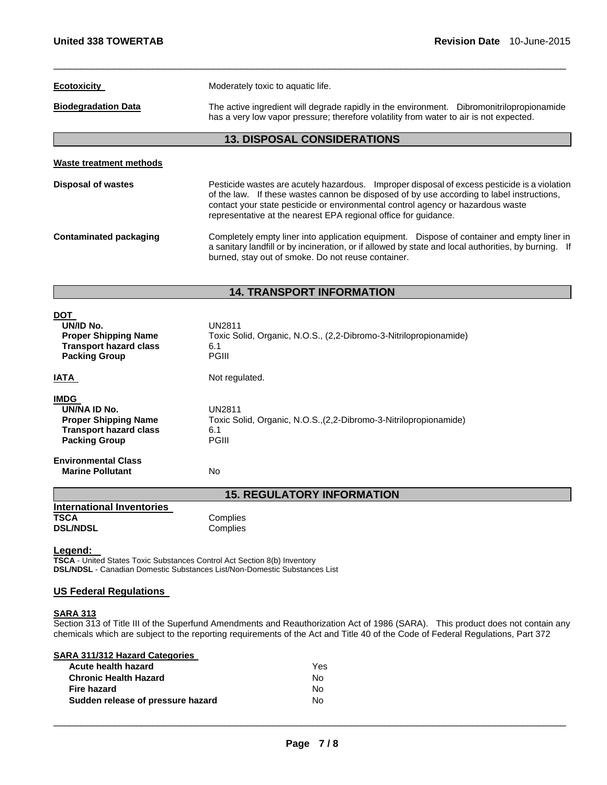| <b>Ecotoxicity</b>                 | Moderately toxic to aquatic life.                                                                                                                                                                                                                                                                                                               |  |  |  |  |  |  |
|------------------------------------|-------------------------------------------------------------------------------------------------------------------------------------------------------------------------------------------------------------------------------------------------------------------------------------------------------------------------------------------------|--|--|--|--|--|--|
| <b>Biodegradation Data</b>         | The active ingredient will degrade rapidly in the environment. Dibromonitrilopropionamide<br>has a very low vapor pressure; therefore volatility from water to air is not expected.                                                                                                                                                             |  |  |  |  |  |  |
| <b>13. DISPOSAL CONSIDERATIONS</b> |                                                                                                                                                                                                                                                                                                                                                 |  |  |  |  |  |  |
| Waste treatment methods            |                                                                                                                                                                                                                                                                                                                                                 |  |  |  |  |  |  |
| Disposal of wastes                 | Pesticide wastes are acutely hazardous. Improper disposal of excess pesticide is a violation<br>of the law. If these wastes cannon be disposed of by use according to label instructions,<br>contact your state pesticide or environmental control agency or hazardous waste<br>representative at the nearest EPA regional office for guidance. |  |  |  |  |  |  |
| Contaminated packaging             | Completely empty liner into application equipment. Dispose of container and empty liner in<br>a sanitary landfill or by incineration, or if allowed by state and local authorities, by burning. If<br>burned, stay out of smoke. Do not reuse container.                                                                                        |  |  |  |  |  |  |

# **14. TRANSPORT INFORMATION**

| No                                                                                                        |
|-----------------------------------------------------------------------------------------------------------|
| UN2811<br>Toxic Solid, Organic, N.O.S., (2,2-Dibromo-3-Nitrilopropionamide)<br>6.1<br><b>PGIII</b>        |
| Not regulated.                                                                                            |
| <b>UN2811</b><br>Toxic Solid, Organic, N.O.S., (2,2-Dibromo-3-Nitrilopropionamide)<br>6.1<br><b>PGIII</b> |
|                                                                                                           |

**15. REGULATORY INFORMATION** 

| <b>International Inventories</b> |          |
|----------------------------------|----------|
| TSCA                             | Complies |
| <b>DSL/NDSL</b>                  | Complies |

**Legend:**<br>TSCA - United States Toxic Substances Control Act Section 8(b) Inventory **DSL/NDSL** - Canadian Domestic Substances List/Non-Domestic Substances List

# **US Federal Regulations**

# **SARA 313**

Section 313 of Title III of the Superfund Amendments and Reauthorization Act of 1986 (SARA). This product does not contain any chemicals which are subject to the reporting requirements of the Act and Title 40 of the Code of Federal Regulations, Part 372

**SARA 311/312 Hazard Categories** 

| Yes. |
|------|
| No.  |
| No.  |
| No.  |
|      |